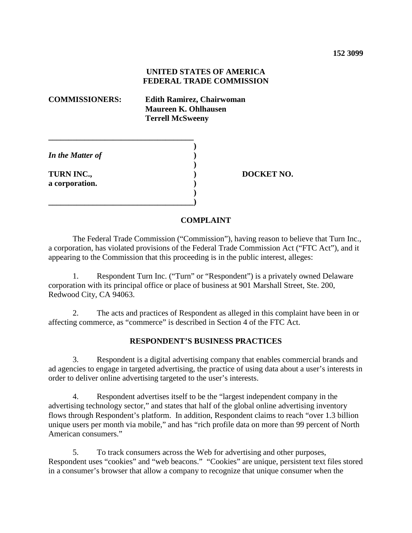### **UNITED STATES OF AMERICA FEDERAL TRADE COMMISSION**

**\_\_\_\_\_\_\_\_\_\_\_\_\_\_\_\_\_\_\_\_\_\_\_\_\_\_\_\_\_\_\_\_\_\_\_\_** 

**\_\_\_\_\_\_\_\_\_\_\_\_\_\_\_\_\_\_\_\_\_\_\_\_\_\_\_\_\_\_\_\_\_\_\_\_)**

**COMMISSIONERS: Edith Ramirez, Chairwoman Maureen K. Ohlhausen Terrell McSweeny**

**)** 

**) )** 

**) )** 

*In the Matter of*

**TURN INC., a corporation.**  **) DOCKET NO.**

#### **COMPLAINT**

The Federal Trade Commission ("Commission"), having reason to believe that Turn Inc., a corporation, has violated provisions of the Federal Trade Commission Act ("FTC Act"), and it appearing to the Commission that this proceeding is in the public interest, alleges:

1. Respondent Turn Inc. ("Turn" or "Respondent") is a privately owned Delaware corporation with its principal office or place of business at 901 Marshall Street, Ste. 200, Redwood City, CA 94063.

2. The acts and practices of Respondent as alleged in this complaint have been in or affecting commerce, as "commerce" is described in Section 4 of the FTC Act.

#### **RESPONDENT'S BUSINESS PRACTICES**

3. Respondent is a digital advertising company that enables commercial brands and ad agencies to engage in targeted advertising, the practice of using data about a user's interests in order to deliver online advertising targeted to the user's interests.

4. Respondent advertises itself to be the "largest independent company in the advertising technology sector," and states that half of the global online advertising inventory flows through Respondent's platform. In addition, Respondent claims to reach "over 1.3 billion unique users per month via mobile," and has "rich profile data on more than 99 percent of North American consumers."

5. To track consumers across the Web for advertising and other purposes, Respondent uses "cookies" and "web beacons." "Cookies" are unique, persistent text files stored in a consumer's browser that allow a company to recognize that unique consumer when the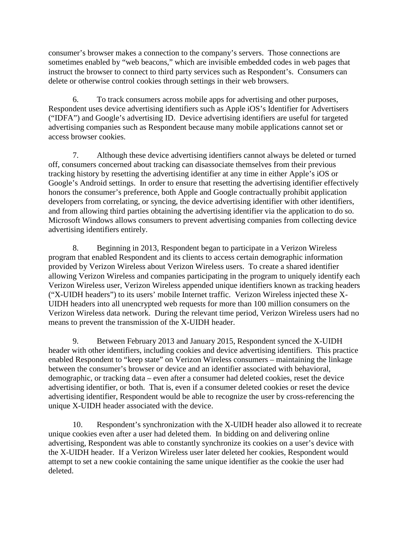consumer's browser makes a connection to the company's servers. Those connections are sometimes enabled by "web beacons," which are invisible embedded codes in web pages that instruct the browser to connect to third party services such as Respondent's. Consumers can delete or otherwise control cookies through settings in their web browsers.

6. To track consumers across mobile apps for advertising and other purposes, Respondent uses device advertising identifiers such as Apple iOS's Identifier for Advertisers ("IDFA") and Google's advertising ID. Device advertising identifiers are useful for targeted advertising companies such as Respondent because many mobile applications cannot set or access browser cookies.

7. Although these device advertising identifiers cannot always be deleted or turned off, consumers concerned about tracking can disassociate themselves from their previous tracking history by resetting the advertising identifier at any time in either Apple's iOS or Google's Android settings. In order to ensure that resetting the advertising identifier effectively honors the consumer's preference, both Apple and Google contractually prohibit application developers from correlating, or syncing, the device advertising identifier with other identifiers, and from allowing third parties obtaining the advertising identifier via the application to do so. Microsoft Windows allows consumers to prevent advertising companies from collecting device advertising identifiers entirely.

8. Beginning in 2013, Respondent began to participate in a Verizon Wireless program that enabled Respondent and its clients to access certain demographic information provided by Verizon Wireless about Verizon Wireless users. To create a shared identifier allowing Verizon Wireless and companies participating in the program to uniquely identify each Verizon Wireless user, Verizon Wireless appended unique identifiers known as tracking headers ("X-UIDH headers") to its users' mobile Internet traffic. Verizon Wireless injected these X-UIDH headers into all unencrypted web requests for more than 100 million consumers on the Verizon Wireless data network. During the relevant time period, Verizon Wireless users had no means to prevent the transmission of the X-UIDH header.

9. Between February 2013 and January 2015, Respondent synced the X-UIDH header with other identifiers, including cookies and device advertising identifiers. This practice enabled Respondent to "keep state" on Verizon Wireless consumers – maintaining the linkage between the consumer's browser or device and an identifier associated with behavioral, demographic, or tracking data – even after a consumer had deleted cookies, reset the device advertising identifier, or both. That is, even if a consumer deleted cookies or reset the device advertising identifier, Respondent would be able to recognize the user by cross-referencing the unique X-UIDH header associated with the device.

10. Respondent's synchronization with the X-UIDH header also allowed it to recreate unique cookies even after a user had deleted them. In bidding on and delivering online advertising, Respondent was able to constantly synchronize its cookies on a user's device with the X-UIDH header. If a Verizon Wireless user later deleted her cookies, Respondent would attempt to set a new cookie containing the same unique identifier as the cookie the user had deleted.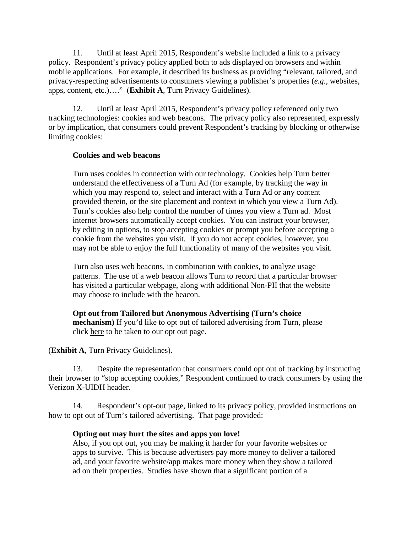11. Until at least April 2015, Respondent's website included a link to a privacy policy. Respondent's privacy policy applied both to ads displayed on browsers and within mobile applications. For example, it described its business as providing "relevant, tailored, and privacy-respecting advertisements to consumers viewing a publisher's properties (*e.g.*, websites, apps, content, etc.)…." (**Exhibit A**, Turn Privacy Guidelines).

12. Until at least April 2015, Respondent's privacy policy referenced only two tracking technologies: cookies and web beacons. The privacy policy also represented, expressly or by implication, that consumers could prevent Respondent's tracking by blocking or otherwise limiting cookies:

### **Cookies and web beacons**

Turn uses cookies in connection with our technology. Cookies help Turn better understand the effectiveness of a Turn Ad (for example, by tracking the way in which you may respond to, select and interact with a Turn Ad or any content provided therein, or the site placement and context in which you view a Turn Ad). Turn's cookies also help control the number of times you view a Turn ad. Most internet browsers automatically accept cookies. You can instruct your browser, by editing in options, to stop accepting cookies or prompt you before accepting a cookie from the websites you visit. If you do not accept cookies, however, you may not be able to enjoy the full functionality of many of the websites you visit.

Turn also uses web beacons, in combination with cookies, to analyze usage patterns. The use of a web beacon allows Turn to record that a particular browser has visited a particular webpage, along with additional Non-PII that the website may choose to include with the beacon.

**Opt out from Tailored but Anonymous Advertising (Turn's choice mechanism**) If you'd like to opt out of tailored advertising from Turn, please click here to be taken to our opt out page.

## (**Exhibit A**, Turn Privacy Guidelines).

13. Despite the representation that consumers could opt out of tracking by instructing their browser to "stop accepting cookies," Respondent continued to track consumers by using the Verizon X-UIDH header.

14. Respondent's opt-out page, linked to its privacy policy, provided instructions on how to opt out of Turn's tailored advertising. That page provided:

#### **Opting out may hurt the sites and apps you love!**

Also, if you opt out, you may be making it harder for your favorite websites or apps to survive. This is because advertisers pay more money to deliver a tailored ad, and your favorite website/app makes more money when they show a tailored ad on their properties. Studies have shown that a significant portion of a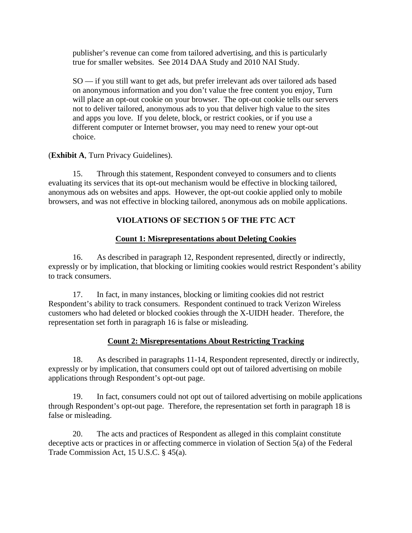publisher's revenue can come from tailored advertising, and this is particularly true for smaller websites. See 2014 DAA Study and 2010 NAI Study.

SO — if you still want to get ads, but prefer irrelevant ads over tailored ads based on anonymous information and you don't value the free content you enjoy, Turn will place an opt-out cookie on your browser. The opt-out cookie tells our servers not to deliver tailored, anonymous ads to you that deliver high value to the sites and apps you love. If you delete, block, or restrict cookies, or if you use a different computer or Internet browser, you may need to renew your opt-out choice.

(**Exhibit A**, Turn Privacy Guidelines).

15. Through this statement, Respondent conveyed to consumers and to clients evaluating its services that its opt-out mechanism would be effective in blocking tailored, anonymous ads on websites and apps. However, the opt-out cookie applied only to mobile browsers, and was not effective in blocking tailored, anonymous ads on mobile applications.

# **VIOLATIONS OF SECTION 5 OF THE FTC ACT**

## **Count 1: Misrepresentations about Deleting Cookies**

16. As described in paragraph 12, Respondent represented, directly or indirectly, expressly or by implication, that blocking or limiting cookies would restrict Respondent's ability to track consumers.

17. In fact, in many instances, blocking or limiting cookies did not restrict Respondent's ability to track consumers. Respondent continued to track Verizon Wireless customers who had deleted or blocked cookies through the X-UIDH header. Therefore, the representation set forth in paragraph 16 is false or misleading.

## **Count 2: Misrepresentations About Restricting Tracking**

18. As described in paragraphs 11-14, Respondent represented, directly or indirectly, expressly or by implication, that consumers could opt out of tailored advertising on mobile applications through Respondent's opt-out page.

19. In fact, consumers could not opt out of tailored advertising on mobile applications through Respondent's opt-out page. Therefore, the representation set forth in paragraph 18 is false or misleading.

20. The acts and practices of Respondent as alleged in this complaint constitute deceptive acts or practices in or affecting commerce in violation of Section 5(a) of the Federal Trade Commission Act, 15 U.S.C. § 45(a).